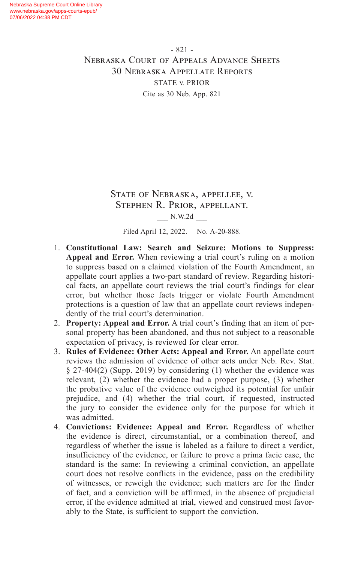- 821 - Nebraska Court of Appeals Advance Sheets 30 Nebraska Appellate Reports STATE v. PRIOR Cite as 30 Neb. App. 821

> State of Nebraska, appellee, v. Stephen R. Prior, appellant. \_\_\_ N.W.2d \_\_\_

Filed April 12, 2022. No. A-20-888.

- 1. **Constitutional Law: Search and Seizure: Motions to Suppress: Appeal and Error.** When reviewing a trial court's ruling on a motion to suppress based on a claimed violation of the Fourth Amendment, an appellate court applies a two-part standard of review. Regarding historical facts, an appellate court reviews the trial court's findings for clear error, but whether those facts trigger or violate Fourth Amendment protections is a question of law that an appellate court reviews independently of the trial court's determination.
- 2. **Property: Appeal and Error.** A trial court's finding that an item of personal property has been abandoned, and thus not subject to a reasonable expectation of privacy, is reviewed for clear error.
- 3. **Rules of Evidence: Other Acts: Appeal and Error.** An appellate court reviews the admission of evidence of other acts under Neb. Rev. Stat. § 27-404(2) (Supp. 2019) by considering (1) whether the evidence was relevant, (2) whether the evidence had a proper purpose, (3) whether the probative value of the evidence outweighed its potential for unfair prejudice, and (4) whether the trial court, if requested, instructed the jury to consider the evidence only for the purpose for which it was admitted.
- 4. **Convictions: Evidence: Appeal and Error.** Regardless of whether the evidence is direct, circumstantial, or a combination thereof, and regardless of whether the issue is labeled as a failure to direct a verdict, insufficiency of the evidence, or failure to prove a prima facie case, the standard is the same: In reviewing a criminal conviction, an appellate court does not resolve conflicts in the evidence, pass on the credibility of witnesses, or reweigh the evidence; such matters are for the finder of fact, and a conviction will be affirmed, in the absence of prejudicial error, if the evidence admitted at trial, viewed and construed most favorably to the State, is sufficient to support the conviction.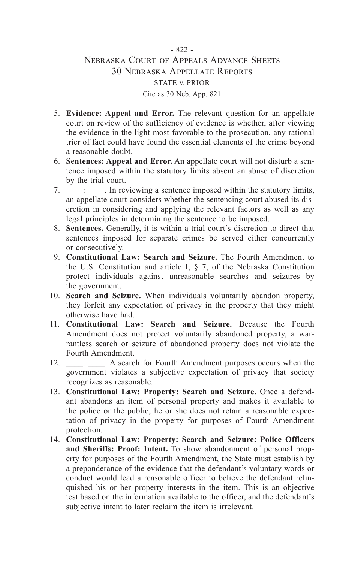# - 822 - Nebraska Court of Appeals Advance Sheets 30 Nebraska Appellate Reports STATE v. PRIOR Cite as 30 Neb. App. 821

- 5. **Evidence: Appeal and Error.** The relevant question for an appellate court on review of the sufficiency of evidence is whether, after viewing the evidence in the light most favorable to the prosecution, any rational trier of fact could have found the essential elements of the crime beyond a reasonable doubt.
- 6. **Sentences: Appeal and Error.** An appellate court will not disturb a sentence imposed within the statutory limits absent an abuse of discretion by the trial court.
- 7.  $\therefore$  In reviewing a sentence imposed within the statutory limits, an appellate court considers whether the sentencing court abused its discretion in considering and applying the relevant factors as well as any legal principles in determining the sentence to be imposed.
- 8. **Sentences.** Generally, it is within a trial court's discretion to direct that sentences imposed for separate crimes be served either concurrently or consecutively.
- 9. **Constitutional Law: Search and Seizure.** The Fourth Amendment to the U.S. Constitution and article I,  $\S$  7, of the Nebraska Constitution protect individuals against unreasonable searches and seizures by the government.
- 10. **Search and Seizure.** When individuals voluntarily abandon property, they forfeit any expectation of privacy in the property that they might otherwise have had.
- 11. **Constitutional Law: Search and Seizure.** Because the Fourth Amendment does not protect voluntarily abandoned property, a warrantless search or seizure of abandoned property does not violate the Fourth Amendment.<br>12. : A searc
- 12. \_\_\_\_: \_\_\_\_. A search for Fourth Amendment purposes occurs when the government violates a subjective expectation of privacy that society recognizes as reasonable.
- 13. **Constitutional Law: Property: Search and Seizure.** Once a defendant abandons an item of personal property and makes it available to the police or the public, he or she does not retain a reasonable expectation of privacy in the property for purposes of Fourth Amendment protection.
- 14. **Constitutional Law: Property: Search and Seizure: Police Officers and Sheriffs: Proof: Intent.** To show abandonment of personal property for purposes of the Fourth Amendment, the State must establish by a preponderance of the evidence that the defendant's voluntary words or conduct would lead a reasonable officer to believe the defendant relinquished his or her property interests in the item. This is an objective test based on the information available to the officer, and the defendant's subjective intent to later reclaim the item is irrelevant.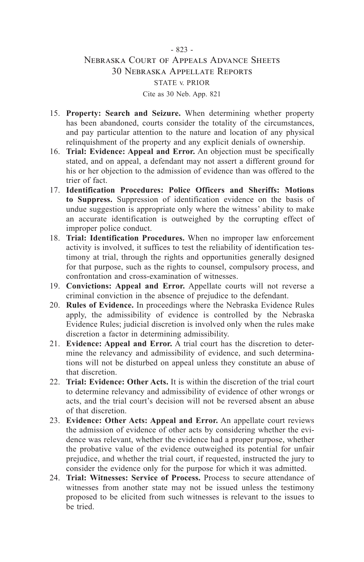# - 823 - Nebraska Court of Appeals Advance Sheets 30 Nebraska Appellate Reports STATE v. PRIOR Cite as 30 Neb. App. 821

- 15. **Property: Search and Seizure.** When determining whether property has been abandoned, courts consider the totality of the circumstances, and pay particular attention to the nature and location of any physical relinquishment of the property and any explicit denials of ownership.
- 16. **Trial: Evidence: Appeal and Error.** An objection must be specifically stated, and on appeal, a defendant may not assert a different ground for his or her objection to the admission of evidence than was offered to the trier of fact.
- 17. **Identification Procedures: Police Officers and Sheriffs: Motions to Suppress.** Suppression of identification evidence on the basis of undue suggestion is appropriate only where the witness' ability to make an accurate identification is outweighed by the corrupting effect of improper police conduct.
- 18. **Trial: Identification Procedures.** When no improper law enforcement activity is involved, it suffices to test the reliability of identification testimony at trial, through the rights and opportunities generally designed for that purpose, such as the rights to counsel, compulsory process, and confrontation and cross-examination of witnesses.
- 19. **Convictions: Appeal and Error.** Appellate courts will not reverse a criminal conviction in the absence of prejudice to the defendant.
- 20. **Rules of Evidence.** In proceedings where the Nebraska Evidence Rules apply, the admissibility of evidence is controlled by the Nebraska Evidence Rules; judicial discretion is involved only when the rules make discretion a factor in determining admissibility.
- 21. **Evidence: Appeal and Error.** A trial court has the discretion to determine the relevancy and admissibility of evidence, and such determinations will not be disturbed on appeal unless they constitute an abuse of that discretion.
- 22. **Trial: Evidence: Other Acts.** It is within the discretion of the trial court to determine relevancy and admissibility of evidence of other wrongs or acts, and the trial court's decision will not be reversed absent an abuse of that discretion.
- 23. **Evidence: Other Acts: Appeal and Error.** An appellate court reviews the admission of evidence of other acts by considering whether the evidence was relevant, whether the evidence had a proper purpose, whether the probative value of the evidence outweighed its potential for unfair prejudice, and whether the trial court, if requested, instructed the jury to consider the evidence only for the purpose for which it was admitted.
- 24. **Trial: Witnesses: Service of Process.** Process to secure attendance of witnesses from another state may not be issued unless the testimony proposed to be elicited from such witnesses is relevant to the issues to be tried.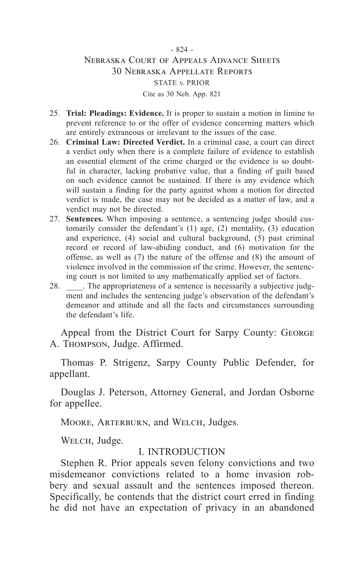# - 824 - Nebraska Court of Appeals Advance Sheets 30 Nebraska Appellate Reports STATE v. PRIOR Cite as 30 Neb. App. 821

- 25. **Trial: Pleadings: Evidence.** It is proper to sustain a motion in limine to prevent reference to or the offer of evidence concerning matters which are entirely extraneous or irrelevant to the issues of the case.
- 26. **Criminal Law: Directed Verdict.** In a criminal case, a court can direct a verdict only when there is a complete failure of evidence to establish an essential element of the crime charged or the evidence is so doubtful in character, lacking probative value, that a finding of guilt based on such evidence cannot be sustained. If there is any evidence which will sustain a finding for the party against whom a motion for directed verdict is made, the case may not be decided as a matter of law, and a verdict may not be directed.
- 27. **Sentences.** When imposing a sentence, a sentencing judge should customarily consider the defendant's (1) age, (2) mentality, (3) education and experience, (4) social and cultural background, (5) past criminal record or record of law-abiding conduct, and (6) motivation for the offense, as well as (7) the nature of the offense and (8) the amount of violence involved in the commission of the crime. However, the sentencing court is not limited to any mathematically applied set of factors.
- 28. The appropriateness of a sentence is necessarily a subjective judgment and includes the sentencing judge's observation of the defendant's demeanor and attitude and all the facts and circumstances surrounding the defendant's life.

Appeal from the District Court for Sarpy County: GEORGE A. Thompson, Judge. Affirmed.

Thomas P. Strigenz, Sarpy County Public Defender, for appellant.

Douglas J. Peterson, Attorney General, and Jordan Osborne for appellee.

MOORE, ARTERBURN, and WELCH, Judges.

WELCH, Judge.

#### I. INTRODUCTION

Stephen R. Prior appeals seven felony convictions and two misdemeanor convictions related to a home invasion robbery and sexual assault and the sentences imposed thereon. Specifically, he contends that the district court erred in finding he did not have an expectation of privacy in an abandoned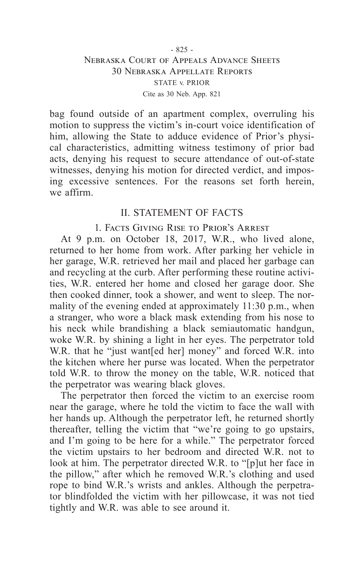bag found outside of an apartment complex, overruling his motion to suppress the victim's in-court voice identification of him, allowing the State to adduce evidence of Prior's physical characteristics, admitting witness testimony of prior bad acts, denying his request to secure attendance of out-of-state witnesses, denying his motion for directed verdict, and imposing excessive sentences. For the reasons set forth herein, we affirm.

# II. STATEMENT OF FACTS

# 1. Facts Giving Rise to Prior's Arrest

At 9 p.m. on October 18, 2017, W.R., who lived alone, returned to her home from work. After parking her vehicle in her garage, W.R. retrieved her mail and placed her garbage can and recycling at the curb. After performing these routine activities, W.R. entered her home and closed her garage door. She then cooked dinner, took a shower, and went to sleep. The normality of the evening ended at approximately 11:30 p.m., when a stranger, who wore a black mask extending from his nose to his neck while brandishing a black semiautomatic handgun, woke W.R. by shining a light in her eyes. The perpetrator told W.R. that he "just want[ed her] money" and forced W.R. into the kitchen where her purse was located. When the perpetrator told W.R. to throw the money on the table, W.R. noticed that the perpetrator was wearing black gloves.

The perpetrator then forced the victim to an exercise room near the garage, where he told the victim to face the wall with her hands up. Although the perpetrator left, he returned shortly thereafter, telling the victim that "we're going to go upstairs, and I'm going to be here for a while." The perpetrator forced the victim upstairs to her bedroom and directed W.R. not to look at him. The perpetrator directed W.R. to "[p]ut her face in the pillow," after which he removed W.R.'s clothing and used rope to bind W.R.'s wrists and ankles. Although the perpetrator blindfolded the victim with her pillowcase, it was not tied tightly and W.R. was able to see around it.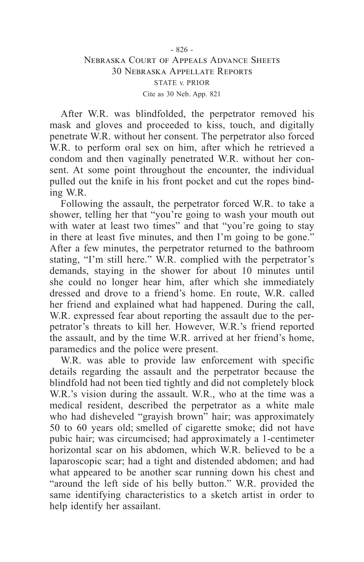# - 826 - Nebraska Court of Appeals Advance Sheets 30 Nebraska Appellate Reports STATE v. PRIOR Cite as 30 Neb. App. 821

After W.R. was blindfolded, the perpetrator removed his mask and gloves and proceeded to kiss, touch, and digitally penetrate W.R. without her consent. The perpetrator also forced W.R. to perform oral sex on him, after which he retrieved a condom and then vaginally penetrated W.R. without her consent. At some point throughout the encounter, the individual pulled out the knife in his front pocket and cut the ropes binding W.R.

Following the assault, the perpetrator forced W.R. to take a shower, telling her that "you're going to wash your mouth out with water at least two times" and that "you're going to stay in there at least five minutes, and then I'm going to be gone." After a few minutes, the perpetrator returned to the bathroom stating, "I'm still here." W.R. complied with the perpetrator's demands, staying in the shower for about 10 minutes until she could no longer hear him, after which she immediately dressed and drove to a friend's home. En route, W.R. called her friend and explained what had happened. During the call, W.R. expressed fear about reporting the assault due to the perpetrator's threats to kill her. However, W.R.'s friend reported the assault, and by the time W.R. arrived at her friend's home, paramedics and the police were present.

W.R. was able to provide law enforcement with specific details regarding the assault and the perpetrator because the blindfold had not been tied tightly and did not completely block W.R.'s vision during the assault. W.R., who at the time was a medical resident, described the perpetrator as a white male who had disheveled "grayish brown" hair; was approximately 50 to 60 years old; smelled of cigarette smoke; did not have pubic hair; was circumcised; had approximately a 1-centimeter horizontal scar on his abdomen, which W.R. believed to be a laparoscopic scar; had a tight and distended abdomen; and had what appeared to be another scar running down his chest and "around the left side of his belly button." W.R. provided the same identifying characteristics to a sketch artist in order to help identify her assailant.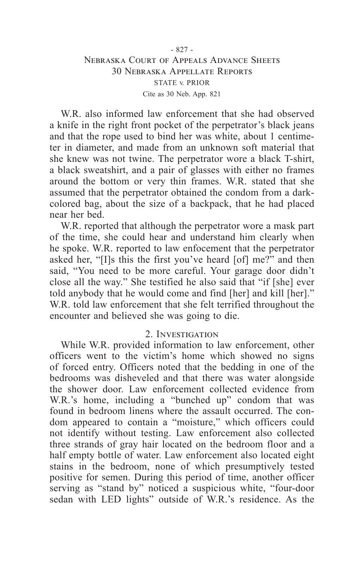# - 827 - Nebraska Court of Appeals Advance Sheets 30 Nebraska Appellate Reports STATE v. PRIOR Cite as 30 Neb. App. 821

W.R. also informed law enforcement that she had observed a knife in the right front pocket of the perpetrator's black jeans and that the rope used to bind her was white, about 1 centimeter in diameter, and made from an unknown soft material that she knew was not twine. The perpetrator wore a black T-shirt, a black sweatshirt, and a pair of glasses with either no frames around the bottom or very thin frames. W.R. stated that she assumed that the perpetrator obtained the condom from a darkcolored bag, about the size of a backpack, that he had placed near her bed.

W.R. reported that although the perpetrator wore a mask part of the time, she could hear and understand him clearly when he spoke. W.R. reported to law enfocement that the perpetrator asked her, "[I]s this the first you've heard [of] me?" and then said, "You need to be more careful. Your garage door didn't close all the way." She testified he also said that "if [she] ever told anybody that he would come and find [her] and kill [her]." W.R. told law enforcement that she felt terrified throughout the encounter and believed she was going to die.

#### 2. Investigation

While W.R. provided information to law enforcement, other officers went to the victim's home which showed no signs of forced entry. Officers noted that the bedding in one of the bedrooms was disheveled and that there was water alongside the shower door. Law enforcement collected evidence from W.R.'s home, including a "bunched up" condom that was found in bedroom linens where the assault occurred. The condom appeared to contain a "moisture," which officers could not identify without testing. Law enforcement also collected three strands of gray hair located on the bedroom floor and a half empty bottle of water. Law enforcement also located eight stains in the bedroom, none of which presumptively tested positive for semen. During this period of time, another officer serving as "stand by" noticed a suspicious white, "four-door sedan with LED lights" outside of W.R.'s residence. As the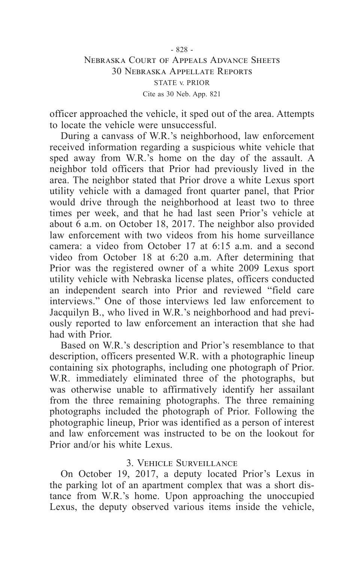officer approached the vehicle, it sped out of the area. Attempts to locate the vehicle were unsuccessful.

During a canvass of W.R.'s neighborhood, law enforcement received information regarding a suspicious white vehicle that sped away from W.R.'s home on the day of the assault. A neighbor told officers that Prior had previously lived in the area. The neighbor stated that Prior drove a white Lexus sport utility vehicle with a damaged front quarter panel, that Prior would drive through the neighborhood at least two to three times per week, and that he had last seen Prior's vehicle at about 6 a.m. on October 18, 2017. The neighbor also provided law enforcement with two videos from his home surveillance camera: a video from October 17 at 6:15 a.m. and a second video from October 18 at 6:20 a.m. After determining that Prior was the registered owner of a white 2009 Lexus sport utility vehicle with Nebraska license plates, officers conducted an independent search into Prior and reviewed "field care interviews." One of those interviews led law enforcement to Jacquilyn B., who lived in W.R.'s neighborhood and had previously reported to law enforcement an interaction that she had had with Prior.

Based on W.R.'s description and Prior's resemblance to that description, officers presented W.R. with a photographic lineup containing six photographs, including one photograph of Prior. W.R. immediately eliminated three of the photographs, but was otherwise unable to affirmatively identify her assailant from the three remaining photographs. The three remaining photographs included the photograph of Prior. Following the photographic lineup, Prior was identified as a person of interest and law enforcement was instructed to be on the lookout for Prior and/or his white Lexus.

### 3. Vehicle Surveillance

On October 19, 2017, a deputy located Prior's Lexus in the parking lot of an apartment complex that was a short distance from W.R.'s home. Upon approaching the unoccupied Lexus, the deputy observed various items inside the vehicle,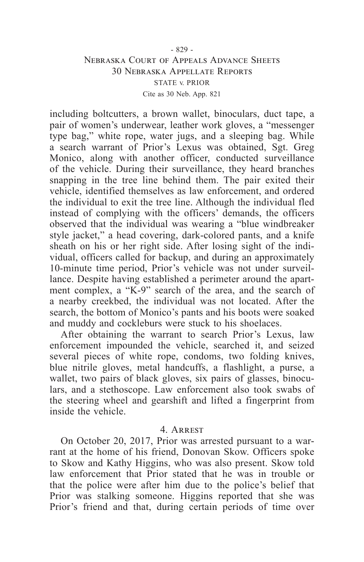# - 829 - Nebraska Court of Appeals Advance Sheets 30 Nebraska Appellate Reports STATE v. PRIOR Cite as 30 Neb. App. 821

including boltcutters, a brown wallet, binoculars, duct tape, a pair of women's underwear, leather work gloves, a "messenger type bag," white rope, water jugs, and a sleeping bag. While a search warrant of Prior's Lexus was obtained, Sgt. Greg Monico, along with another officer, conducted surveillance of the vehicle. During their surveillance, they heard branches snapping in the tree line behind them. The pair exited their vehicle, identified themselves as law enforcement, and ordered the individual to exit the tree line. Although the individual fled instead of complying with the officers' demands, the officers observed that the individual was wearing a "blue windbreaker style jacket," a head covering, dark-colored pants, and a knife sheath on his or her right side. After losing sight of the individual, officers called for backup, and during an approximately 10-minute time period, Prior's vehicle was not under surveillance. Despite having established a perimeter around the apartment complex, a "K-9" search of the area, and the search of a nearby creekbed, the individual was not located. After the search, the bottom of Monico's pants and his boots were soaked and muddy and cockleburs were stuck to his shoelaces.

After obtaining the warrant to search Prior's Lexus, law enforcement impounded the vehicle, searched it, and seized several pieces of white rope, condoms, two folding knives, blue nitrile gloves, metal handcuffs, a flashlight, a purse, a wallet, two pairs of black gloves, six pairs of glasses, binoculars, and a stethoscope. Law enforcement also took swabs of the steering wheel and gearshift and lifted a fingerprint from inside the vehicle.

#### 4. Arrest

On October 20, 2017, Prior was arrested pursuant to a warrant at the home of his friend, Donovan Skow. Officers spoke to Skow and Kathy Higgins, who was also present. Skow told law enforcement that Prior stated that he was in trouble or that the police were after him due to the police's belief that Prior was stalking someone. Higgins reported that she was Prior's friend and that, during certain periods of time over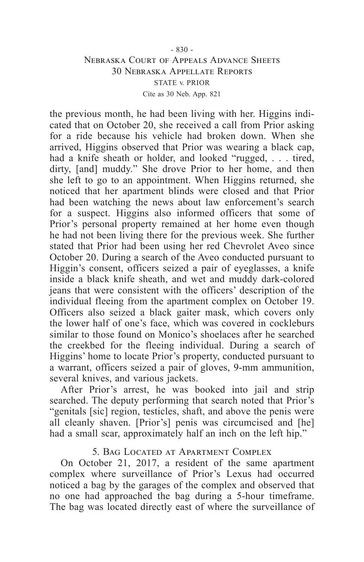# - 830 - Nebraska Court of Appeals Advance Sheets 30 Nebraska Appellate Reports STATE v. PRIOR Cite as 30 Neb. App. 821

the previous month, he had been living with her. Higgins indicated that on October 20, she received a call from Prior asking for a ride because his vehicle had broken down. When she arrived, Higgins observed that Prior was wearing a black cap, had a knife sheath or holder, and looked "rugged, . . . tired, dirty, [and] muddy." She drove Prior to her home, and then she left to go to an appointment. When Higgins returned, she noticed that her apartment blinds were closed and that Prior had been watching the news about law enforcement's search for a suspect. Higgins also informed officers that some of Prior's personal property remained at her home even though he had not been living there for the previous week. She further stated that Prior had been using her red Chevrolet Aveo since October 20. During a search of the Aveo conducted pursuant to Higgin's consent, officers seized a pair of eyeglasses, a knife inside a black knife sheath, and wet and muddy dark-colored jeans that were consistent with the officers' description of the individual fleeing from the apartment complex on October 19. Officers also seized a black gaiter mask, which covers only the lower half of one's face, which was covered in cockleburs similar to those found on Monico's shoelaces after he searched the creekbed for the fleeing individual. During a search of Higgins' home to locate Prior's property, conducted pursuant to a warrant, officers seized a pair of gloves, 9-mm ammunition, several knives, and various jackets.

After Prior's arrest, he was booked into jail and strip searched. The deputy performing that search noted that Prior's "genitals [sic] region, testicles, shaft, and above the penis were all cleanly shaven. [Prior's] penis was circumcised and [he] had a small scar, approximately half an inch on the left hip."

### 5. Bag Located at Apartment Complex

On October 21, 2017, a resident of the same apartment complex where surveillance of Prior's Lexus had occurred noticed a bag by the garages of the complex and observed that no one had approached the bag during a 5-hour timeframe. The bag was located directly east of where the surveillance of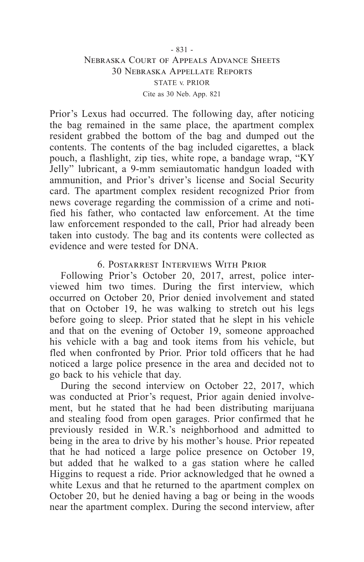# - 831 - Nebraska Court of Appeals Advance Sheets 30 Nebraska Appellate Reports STATE v. PRIOR Cite as 30 Neb. App. 821

Prior's Lexus had occurred. The following day, after noticing the bag remained in the same place, the apartment complex resident grabbed the bottom of the bag and dumped out the contents. The contents of the bag included cigarettes, a black pouch, a flashlight, zip ties, white rope, a bandage wrap, "KY Jelly" lubricant, a 9-mm semiautomatic handgun loaded with ammunition, and Prior's driver's license and Social Security card. The apartment complex resident recognized Prior from news coverage regarding the commission of a crime and notified his father, who contacted law enforcement. At the time law enforcement responded to the call, Prior had already been taken into custody. The bag and its contents were collected as evidence and were tested for DNA.

#### 6. Postarrest Interviews With Prior

Following Prior's October 20, 2017, arrest, police interviewed him two times. During the first interview, which occurred on October 20, Prior denied involvement and stated that on October 19, he was walking to stretch out his legs before going to sleep. Prior stated that he slept in his vehicle and that on the evening of October 19, someone approached his vehicle with a bag and took items from his vehicle, but fled when confronted by Prior. Prior told officers that he had noticed a large police presence in the area and decided not to go back to his vehicle that day.

During the second interview on October 22, 2017, which was conducted at Prior's request, Prior again denied involvement, but he stated that he had been distributing marijuana and stealing food from open garages. Prior confirmed that he previously resided in W.R.'s neighborhood and admitted to being in the area to drive by his mother's house. Prior repeated that he had noticed a large police presence on October 19, but added that he walked to a gas station where he called Higgins to request a ride. Prior acknowledged that he owned a white Lexus and that he returned to the apartment complex on October 20, but he denied having a bag or being in the woods near the apartment complex. During the second interview, after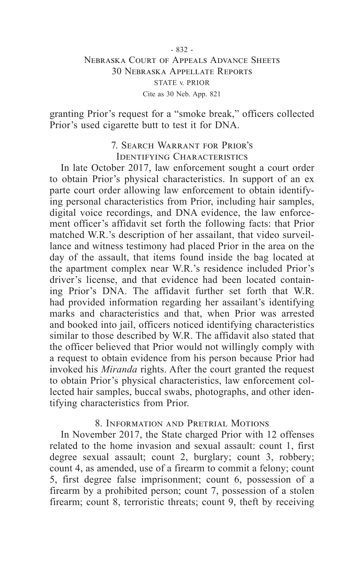# - 832 - Nebraska Court of Appeals Advance Sheets 30 Nebraska Appellate Reports STATE v. PRIOR Cite as 30 Neb. App. 821

granting Prior's request for a "smoke break," officers collected Prior's used cigarette butt to test it for DNA.

# 7. Search Warrant for Prior's Identifying Characteristics

In late October 2017, law enforcement sought a court order to obtain Prior's physical characteristics. In support of an ex parte court order allowing law enforcement to obtain identifying personal characteristics from Prior, including hair samples, digital voice recordings, and DNA evidence, the law enforcement officer's affidavit set forth the following facts: that Prior matched W.R.'s description of her assailant, that video surveillance and witness testimony had placed Prior in the area on the day of the assault, that items found inside the bag located at the apartment complex near W.R.'s residence included Prior's driver's license, and that evidence had been located containing Prior's DNA. The affidavit further set forth that W.R. had provided information regarding her assailant's identifying marks and characteristics and that, when Prior was arrested and booked into jail, officers noticed identifying characteristics similar to those described by W.R. The affidavit also stated that the officer believed that Prior would not willingly comply with a request to obtain evidence from his person because Prior had invoked his *Miranda* rights. After the court granted the request to obtain Prior's physical characteristics, law enforcement collected hair samples, buccal swabs, photographs, and other identifying characteristics from Prior.

### 8. Information and Pretrial Motions

In November 2017, the State charged Prior with 12 offenses related to the home invasion and sexual assault: count 1, first degree sexual assault; count 2, burglary; count 3, robbery; count 4, as amended, use of a firearm to commit a felony; count 5, first degree false imprisonment; count 6, possession of a firearm by a prohibited person; count 7, possession of a stolen firearm; count 8, terroristic threats; count 9, theft by receiving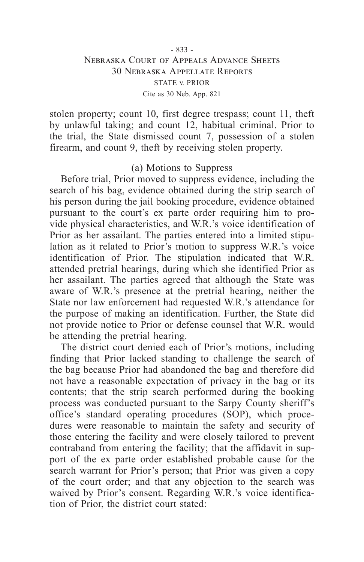# - 833 - Nebraska Court of Appeals Advance Sheets 30 Nebraska Appellate Reports STATE v. PRIOR Cite as 30 Neb. App. 821

stolen property; count 10, first degree trespass; count 11, theft by unlawful taking; and count 12, habitual criminal. Prior to the trial, the State dismissed count 7, possession of a stolen firearm, and count 9, theft by receiving stolen property.

#### (a) Motions to Suppress

Before trial, Prior moved to suppress evidence, including the search of his bag, evidence obtained during the strip search of his person during the jail booking procedure, evidence obtained pursuant to the court's ex parte order requiring him to provide physical characteristics, and W.R.'s voice identification of Prior as her assailant. The parties entered into a limited stipulation as it related to Prior's motion to suppress W.R.'s voice identification of Prior. The stipulation indicated that W.R. attended pretrial hearings, during which she identified Prior as her assailant. The parties agreed that although the State was aware of W.R.'s presence at the pretrial hearing, neither the State nor law enforcement had requested W.R.'s attendance for the purpose of making an identification. Further, the State did not provide notice to Prior or defense counsel that W.R. would be attending the pretrial hearing.

The district court denied each of Prior's motions, including finding that Prior lacked standing to challenge the search of the bag because Prior had abandoned the bag and therefore did not have a reasonable expectation of privacy in the bag or its contents; that the strip search performed during the booking process was conducted pursuant to the Sarpy County sheriff's office's standard operating procedures (SOP), which procedures were reasonable to maintain the safety and security of those entering the facility and were closely tailored to prevent contraband from entering the facility; that the affidavit in support of the ex parte order established probable cause for the search warrant for Prior's person; that Prior was given a copy of the court order; and that any objection to the search was waived by Prior's consent. Regarding W.R.'s voice identification of Prior, the district court stated: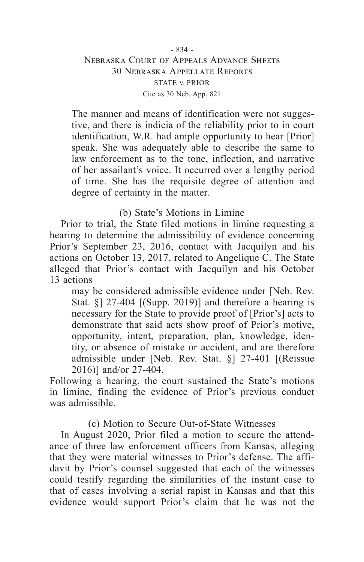# - 834 - Nebraska Court of Appeals Advance Sheets 30 Nebraska Appellate Reports STATE v. PRIOR Cite as 30 Neb. App. 821

The manner and means of identification were not suggestive, and there is indicia of the reliability prior to in court identification, W.R. had ample opportunity to hear [Prior] speak. She was adequately able to describe the same to law enforcement as to the tone, inflection, and narrative of her assailant's voice. It occurred over a lengthy period of time. She has the requisite degree of attention and degree of certainty in the matter.

### (b) State's Motions in Limine

Prior to trial, the State filed motions in limine requesting a hearing to determine the admissibility of evidence concerning Prior's September 23, 2016, contact with Jacquilyn and his actions on October 13, 2017, related to Angelique C. The State alleged that Prior's contact with Jacquilyn and his October 13 actions

may be considered admissible evidence under [Neb. Rev. Stat. §] 27-404 [(Supp. 2019)] and therefore a hearing is necessary for the State to provide proof of [Prior's] acts to demonstrate that said acts show proof of Prior's motive, opportunity, intent, preparation, plan, knowledge, identity, or absence of mistake or accident, and are therefore admissible under [Neb. Rev. Stat. §] 27-401 [(Reissue 2016)] and/or 27-404.

Following a hearing, the court sustained the State's motions in limine, finding the evidence of Prior's previous conduct was admissible.

### (c) Motion to Secure Out-of-State Witnesses

In August 2020, Prior filed a motion to secure the attendance of three law enforcement officers from Kansas, alleging that they were material witnesses to Prior's defense. The affidavit by Prior's counsel suggested that each of the witnesses could testify regarding the similarities of the instant case to that of cases involving a serial rapist in Kansas and that this evidence would support Prior's claim that he was not the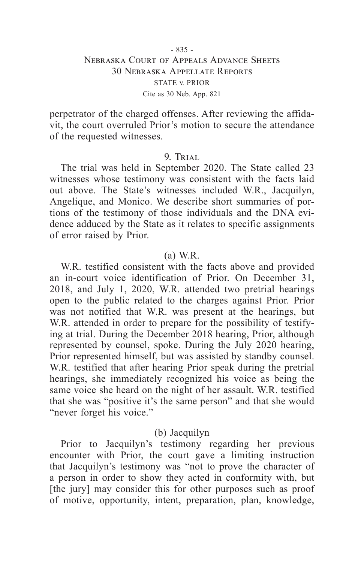perpetrator of the charged offenses. After reviewing the affidavit, the court overruled Prior's motion to secure the attendance of the requested witnesses.

#### 9. TRIAL

The trial was held in September 2020. The State called 23 witnesses whose testimony was consistent with the facts laid out above. The State's witnesses included W.R., Jacquilyn, Angelique, and Monico. We describe short summaries of portions of the testimony of those individuals and the DNA evidence adduced by the State as it relates to specific assignments of error raised by Prior.

#### (a) W.R.

W.R. testified consistent with the facts above and provided an in-court voice identification of Prior. On December 31, 2018, and July 1, 2020, W.R. attended two pretrial hearings open to the public related to the charges against Prior. Prior was not notified that W.R. was present at the hearings, but W.R. attended in order to prepare for the possibility of testifying at trial. During the December 2018 hearing, Prior, although represented by counsel, spoke. During the July 2020 hearing, Prior represented himself, but was assisted by standby counsel. W.R. testified that after hearing Prior speak during the pretrial hearings, she immediately recognized his voice as being the same voice she heard on the night of her assault. W.R. testified that she was "positive it's the same person" and that she would "never forget his voice."

# (b) Jacquilyn

Prior to Jacquilyn's testimony regarding her previous encounter with Prior, the court gave a limiting instruction that Jacquilyn's testimony was "not to prove the character of a person in order to show they acted in conformity with, but [the jury] may consider this for other purposes such as proof of motive, opportunity, intent, preparation, plan, knowledge,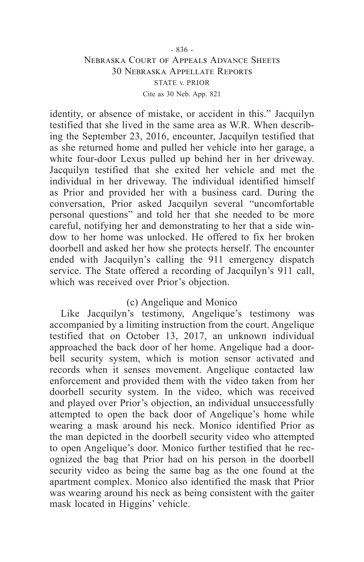# - 836 - Nebraska Court of Appeals Advance Sheets 30 Nebraska Appellate Reports STATE v. PRIOR Cite as 30 Neb. App. 821

identity, or absence of mistake, or accident in this." Jacquilyn testified that she lived in the same area as W.R. When describing the September 23, 2016, encounter, Jacquilyn testified that as she returned home and pulled her vehicle into her garage, a white four-door Lexus pulled up behind her in her driveway. Jacquilyn testified that she exited her vehicle and met the individual in her driveway. The individual identified himself as Prior and provided her with a business card. During the conversation, Prior asked Jacquilyn several "uncomfortable personal questions" and told her that she needed to be more careful, notifying her and demonstrating to her that a side window to her home was unlocked. He offered to fix her broken doorbell and asked her how she protects herself. The encounter ended with Jacquilyn's calling the 911 emergency dispatch service. The State offered a recording of Jacquilyn's 911 call, which was received over Prior's objection.

# (c) Angelique and Monico

Like Jacquilyn's testimony, Angelique's testimony was accompanied by a limiting instruction from the court. Angelique testified that on October 13, 2017, an unknown individual approached the back door of her home. Angelique had a doorbell security system, which is motion sensor activated and records when it senses movement. Angelique contacted law enforcement and provided them with the video taken from her doorbell security system. In the video, which was received and played over Prior's objection, an individual unsuccessfully attempted to open the back door of Angelique's home while wearing a mask around his neck. Monico identified Prior as the man depicted in the doorbell security video who attempted to open Angelique's door. Monico further testified that he recognized the bag that Prior had on his person in the doorbell security video as being the same bag as the one found at the apartment complex. Monico also identified the mask that Prior was wearing around his neck as being consistent with the gaiter mask located in Higgins' vehicle.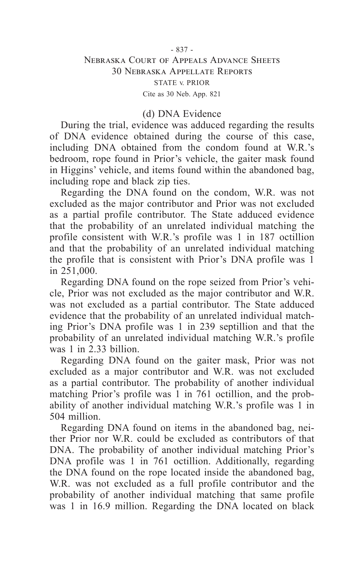# Nebraska Court of Appeals Advance Sheets 30 Nebraska Appellate Reports STATE v. PRIOR Cite as 30 Neb. App. 821

# (d) DNA Evidence

During the trial, evidence was adduced regarding the results of DNA evidence obtained during the course of this case, including DNA obtained from the condom found at W.R.'s bedroom, rope found in Prior's vehicle, the gaiter mask found in Higgins' vehicle, and items found within the abandoned bag, including rope and black zip ties.

Regarding the DNA found on the condom, W.R. was not excluded as the major contributor and Prior was not excluded as a partial profile contributor. The State adduced evidence that the probability of an unrelated individual matching the profile consistent with W.R.'s profile was 1 in 187 octillion and that the probability of an unrelated individual matching the profile that is consistent with Prior's DNA profile was 1 in 251,000.

Regarding DNA found on the rope seized from Prior's vehicle, Prior was not excluded as the major contributor and W.R. was not excluded as a partial contributor. The State adduced evidence that the probability of an unrelated individual matching Prior's DNA profile was 1 in 239 septillion and that the probability of an unrelated individual matching W.R.'s profile was 1 in 2.33 billion.

Regarding DNA found on the gaiter mask, Prior was not excluded as a major contributor and W.R. was not excluded as a partial contributor. The probability of another individual matching Prior's profile was 1 in 761 octillion, and the probability of another individual matching W.R.'s profile was 1 in 504 million.

Regarding DNA found on items in the abandoned bag, neither Prior nor W.R. could be excluded as contributors of that DNA. The probability of another individual matching Prior's DNA profile was 1 in 761 octillion. Additionally, regarding the DNA found on the rope located inside the abandoned bag, W.R. was not excluded as a full profile contributor and the probability of another individual matching that same profile was 1 in 16.9 million. Regarding the DNA located on black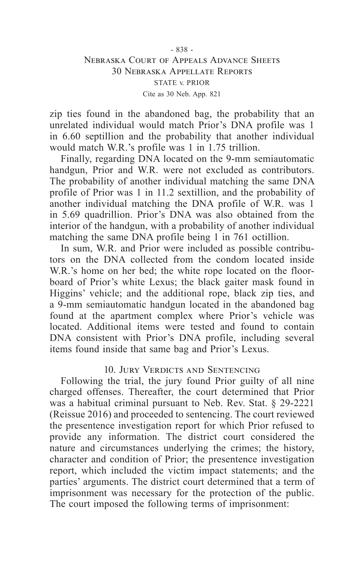# - 838 - Nebraska Court of Appeals Advance Sheets 30 Nebraska Appellate Reports STATE v. PRIOR Cite as 30 Neb. App. 821

zip ties found in the abandoned bag, the probability that an unrelated individual would match Prior's DNA profile was 1 in 6.60 septillion and the probability that another individual would match W.R.'s profile was 1 in 1.75 trillion.

Finally, regarding DNA located on the 9-mm semiautomatic handgun, Prior and W.R. were not excluded as contributors. The probability of another individual matching the same DNA profile of Prior was 1 in 11.2 sextillion, and the probability of another individual matching the DNA profile of W.R. was 1 in 5.69 quadrillion. Prior's DNA was also obtained from the interior of the handgun, with a probability of another individual matching the same DNA profile being 1 in 761 octillion.

In sum, W.R. and Prior were included as possible contributors on the DNA collected from the condom located inside W.R.'s home on her bed; the white rope located on the floorboard of Prior's white Lexus; the black gaiter mask found in Higgins' vehicle; and the additional rope, black zip ties, and a 9-mm semiautomatic handgun located in the abandoned bag found at the apartment complex where Prior's vehicle was located. Additional items were tested and found to contain DNA consistent with Prior's DNA profile, including several items found inside that same bag and Prior's Lexus.

# 10. Jury Verdicts and Sentencing

Following the trial, the jury found Prior guilty of all nine charged offenses. Thereafter, the court determined that Prior was a habitual criminal pursuant to Neb. Rev. Stat. § 29-2221 (Reissue 2016) and proceeded to sentencing. The court reviewed the presentence investigation report for which Prior refused to provide any information. The district court considered the nature and circumstances underlying the crimes; the history, character and condition of Prior; the presentence investigation report, which included the victim impact statements; and the parties' arguments. The district court determined that a term of imprisonment was necessary for the protection of the public. The court imposed the following terms of imprisonment: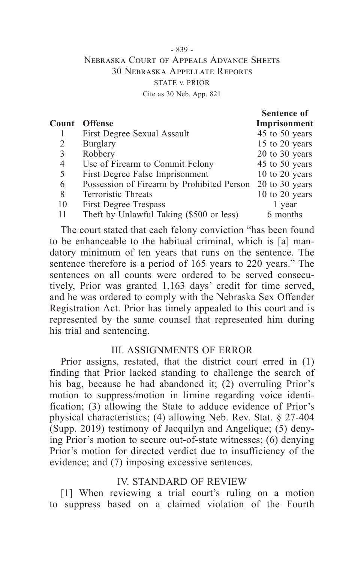# - 839 - Nebraska Court of Appeals Advance Sheets 30 Nebraska Appellate Reports STATE v. PRIOR Cite as 30 Neb. App. 821

|       |                                            | Sentence of        |
|-------|--------------------------------------------|--------------------|
| Count | <b>Offense</b>                             | Imprisonment       |
|       | First Degree Sexual Assault                | 45 to 50 years     |
| 2     | Burglary                                   | 15 to 20 years     |
| 3     | Robbery                                    | $20$ to $30$ years |
| 4     | Use of Firearm to Commit Felony            | 45 to 50 years     |
| 5     | First Degree False Imprisonment            | $10$ to $20$ years |
| 6     | Possession of Firearm by Prohibited Person | $20$ to $30$ years |
| 8     | Terroristic Threats                        | $10$ to $20$ years |
| 10    | First Degree Trespass                      | 1 year             |
| 11    | Theft by Unlawful Taking (\$500 or less)   | 6 months           |
|       |                                            |                    |

The court stated that each felony conviction "has been found to be enhanceable to the habitual criminal, which is [a] mandatory minimum of ten years that runs on the sentence. The sentence therefore is a period of 165 years to 220 years." The sentences on all counts were ordered to be served consecutively, Prior was granted 1,163 days' credit for time served, and he was ordered to comply with the Nebraska Sex Offender Registration Act. Prior has timely appealed to this court and is represented by the same counsel that represented him during his trial and sentencing.

### III. ASSIGNMENTS OF ERROR

Prior assigns, restated, that the district court erred in (1) finding that Prior lacked standing to challenge the search of his bag, because he had abandoned it; (2) overruling Prior's motion to suppress/motion in limine regarding voice identification; (3) allowing the State to adduce evidence of Prior's physical characteristics; (4) allowing Neb. Rev. Stat. § 27-404 (Supp. 2019) testimony of Jacquilyn and Angelique; (5) denying Prior's motion to secure out-of-state witnesses; (6) denying Prior's motion for directed verdict due to insufficiency of the evidence; and (7) imposing excessive sentences.

# IV. STANDARD OF REVIEW

[1] When reviewing a trial court's ruling on a motion to suppress based on a claimed violation of the Fourth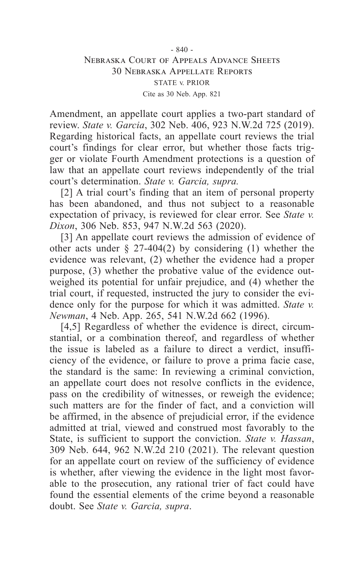# - 840 - Nebraska Court of Appeals Advance Sheets 30 Nebraska Appellate Reports STATE v. PRIOR Cite as 30 Neb. App. 821

Amendment, an appellate court applies a two-part standard of review. *State v. Garcia*, 302 Neb. 406, 923 N.W.2d 725 (2019). Regarding historical facts, an appellate court reviews the trial court's findings for clear error, but whether those facts trigger or violate Fourth Amendment protections is a question of law that an appellate court reviews independently of the trial court's determination. *State v. Garcia, supra.*

[2] A trial court's finding that an item of personal property has been abandoned, and thus not subject to a reasonable expectation of privacy, is reviewed for clear error. See *State v. Dixon*, 306 Neb. 853, 947 N.W.2d 563 (2020).

[3] An appellate court reviews the admission of evidence of other acts under § 27-404(2) by considering (1) whether the evidence was relevant, (2) whether the evidence had a proper purpose, (3) whether the probative value of the evidence outweighed its potential for unfair prejudice, and (4) whether the trial court, if requested, instructed the jury to consider the evidence only for the purpose for which it was admitted. *State v. Newman*, 4 Neb. App. 265, 541 N.W.2d 662 (1996).

[4,5] Regardless of whether the evidence is direct, circumstantial, or a combination thereof, and regardless of whether the issue is labeled as a failure to direct a verdict, insufficiency of the evidence, or failure to prove a prima facie case, the standard is the same: In reviewing a criminal conviction, an appellate court does not resolve conflicts in the evidence, pass on the credibility of witnesses, or reweigh the evidence; such matters are for the finder of fact, and a conviction will be affirmed, in the absence of prejudicial error, if the evidence admitted at trial, viewed and construed most favorably to the State, is sufficient to support the conviction. *State v. Hassan*, 309 Neb. 644, 962 N.W.2d 210 (2021). The relevant question for an appellate court on review of the sufficiency of evidence is whether, after viewing the evidence in the light most favorable to the prosecution, any rational trier of fact could have found the essential elements of the crime beyond a reasonable doubt. See *State v. Garcia, supra*.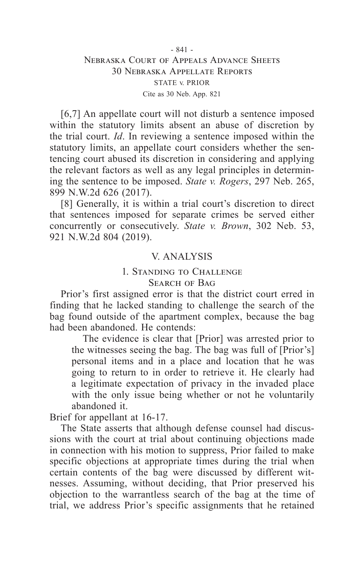# - 841 - Nebraska Court of Appeals Advance Sheets 30 Nebraska Appellate Reports STATE v. PRIOR Cite as 30 Neb. App. 821

[6,7] An appellate court will not disturb a sentence imposed within the statutory limits absent an abuse of discretion by the trial court. *Id*. In reviewing a sentence imposed within the statutory limits, an appellate court considers whether the sentencing court abused its discretion in considering and applying the relevant factors as well as any legal principles in determining the sentence to be imposed. *State v. Rogers*, 297 Neb. 265, 899 N.W.2d 626 (2017).

[8] Generally, it is within a trial court's discretion to direct that sentences imposed for separate crimes be served either concurrently or consecutively. *State v. Brown*, 302 Neb. 53, 921 N.W.2d 804 (2019).

# V. ANALYSIS

# 1. Standing to Challenge SEARCH OF BAG

Prior's first assigned error is that the district court erred in finding that he lacked standing to challenge the search of the bag found outside of the apartment complex, because the bag had been abandoned. He contends:

The evidence is clear that [Prior] was arrested prior to the witnesses seeing the bag. The bag was full of [Prior's] personal items and in a place and location that he was going to return to in order to retrieve it. He clearly had a legitimate expectation of privacy in the invaded place with the only issue being whether or not he voluntarily abandoned it.

Brief for appellant at 16-17.

The State asserts that although defense counsel had discussions with the court at trial about continuing objections made in connection with his motion to suppress, Prior failed to make specific objections at appropriate times during the trial when certain contents of the bag were discussed by different witnesses. Assuming, without deciding, that Prior preserved his objection to the warrantless search of the bag at the time of trial, we address Prior's specific assignments that he retained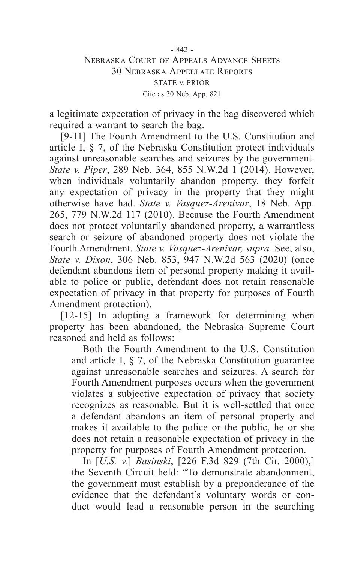a legitimate expectation of privacy in the bag discovered which required a warrant to search the bag.

[9-11] The Fourth Amendment to the U.S. Constitution and article I, § 7, of the Nebraska Constitution protect individuals against unreasonable searches and seizures by the government. *State v. Piper*, 289 Neb. 364, 855 N.W.2d 1 (2014). However, when individuals voluntarily abandon property, they forfeit any expectation of privacy in the property that they might otherwise have had. *State v. Vasquez-Arenivar*, 18 Neb. App. 265, 779 N.W.2d 117 (2010). Because the Fourth Amendment does not protect voluntarily abandoned property, a warrantless search or seizure of abandoned property does not violate the Fourth Amendment. *State v. Vasquez-Arenivar, supra.* See, also, *State v. Dixon*, 306 Neb. 853, 947 N.W.2d 563 (2020) (once defendant abandons item of personal property making it available to police or public, defendant does not retain reasonable expectation of privacy in that property for purposes of Fourth Amendment protection).

[12-15] In adopting a framework for determining when property has been abandoned, the Nebraska Supreme Court reasoned and held as follows:

Both the Fourth Amendment to the U.S. Constitution and article I, § 7, of the Nebraska Constitution guarantee against unreasonable searches and seizures. A search for Fourth Amendment purposes occurs when the government violates a subjective expectation of privacy that society recognizes as reasonable. But it is well-settled that once a defendant abandons an item of personal property and makes it available to the police or the public, he or she does not retain a reasonable expectation of privacy in the property for purposes of Fourth Amendment protection.

In [*U.S. v.*] *Basinski*, [226 F.3d 829 (7th Cir. 2000),] the Seventh Circuit held: "To demonstrate abandonment, the government must establish by a preponderance of the evidence that the defendant's voluntary words or conduct would lead a reasonable person in the searching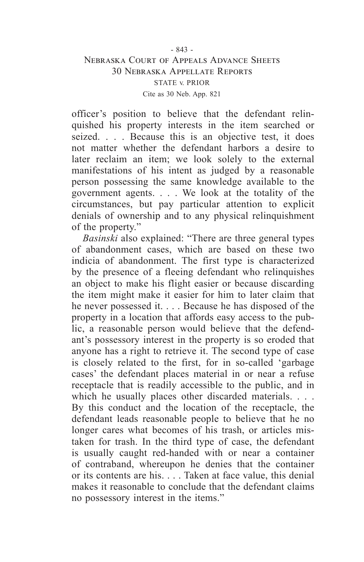# Nebraska Court of Appeals Advance Sheets 30 Nebraska Appellate Reports STATE v. PRIOR Cite as 30 Neb. App. 821

officer's position to believe that the defendant relinquished his property interests in the item searched or seized. . . . Because this is an objective test, it does not matter whether the defendant harbors a desire to later reclaim an item; we look solely to the external manifestations of his intent as judged by a reasonable person possessing the same knowledge available to the government agents. . . . We look at the totality of the circumstances, but pay particular attention to explicit denials of ownership and to any physical relinquishment of the property."

*Basinski* also explained: "There are three general types of abandonment cases, which are based on these two indicia of abandonment. The first type is characterized by the presence of a fleeing defendant who relinquishes an object to make his flight easier or because discarding the item might make it easier for him to later claim that he never possessed it. . . . Because he has disposed of the property in a location that affords easy access to the public, a reasonable person would believe that the defendant's possessory interest in the property is so eroded that anyone has a right to retrieve it. The second type of case is closely related to the first, for in so-called 'garbage cases' the defendant places material in or near a refuse receptacle that is readily accessible to the public, and in which he usually places other discarded materials. . . . By this conduct and the location of the receptacle, the defendant leads reasonable people to believe that he no longer cares what becomes of his trash, or articles mistaken for trash. In the third type of case, the defendant is usually caught red-handed with or near a container of contraband, whereupon he denies that the container or its contents are his. . . . Taken at face value, this denial makes it reasonable to conclude that the defendant claims no possessory interest in the items."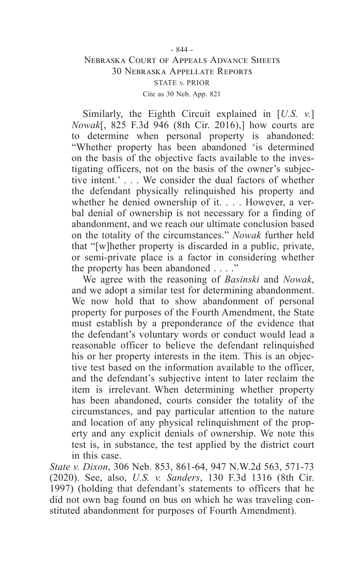# - 844 - Nebraska Court of Appeals Advance Sheets 30 Nebraska Appellate Reports STATE v. PRIOR Cite as 30 Neb. App. 821

Similarly, the Eighth Circuit explained in [*U.S. v.*] *Nowak*[, 825 F.3d 946 (8th Cir. 2016),] how courts are to determine when personal property is abandoned: "Whether property has been abandoned 'is determined on the basis of the objective facts available to the investigating officers, not on the basis of the owner's subjective intent.' . . . We consider the dual factors of whether the defendant physically relinquished his property and whether he denied ownership of it. . . . However, a verbal denial of ownership is not necessary for a finding of abandonment, and we reach our ultimate conclusion based on the totality of the circumstances." *Nowak* further held that "[w]hether property is discarded in a public, private, or semi-private place is a factor in considering whether the property has been abandoned . . . ."

We agree with the reasoning of *Basinski* and *Nowak*, and we adopt a similar test for determining abandonment. We now hold that to show abandonment of personal property for purposes of the Fourth Amendment, the State must establish by a preponderance of the evidence that the defendant's voluntary words or conduct would lead a reasonable officer to believe the defendant relinquished his or her property interests in the item. This is an objective test based on the information available to the officer, and the defendant's subjective intent to later reclaim the item is irrelevant. When determining whether property has been abandoned, courts consider the totality of the circumstances, and pay particular attention to the nature and location of any physical relinquishment of the property and any explicit denials of ownership. We note this test is, in substance, the test applied by the district court in this case.

*State v. Dixon*, 306 Neb. 853, 861-64, 947 N.W.2d 563, 571-73 (2020). See, also, *U.S. v. Sanders*, 130 F.3d 1316 (8th Cir. 1997) (holding that defendant's statements to officers that he did not own bag found on bus on which he was traveling constituted abandonment for purposes of Fourth Amendment).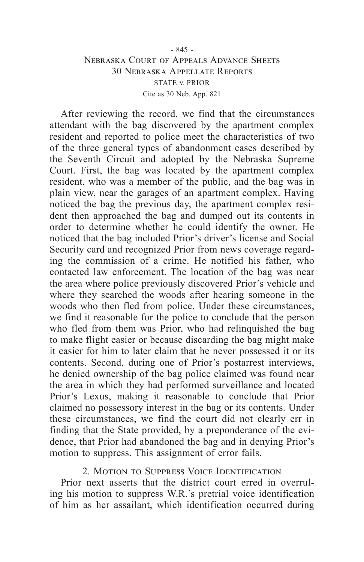# - 845 - Nebraska Court of Appeals Advance Sheets 30 Nebraska Appellate Reports STATE v. PRIOR Cite as 30 Neb. App. 821

After reviewing the record, we find that the circumstances attendant with the bag discovered by the apartment complex resident and reported to police meet the characteristics of two of the three general types of abandonment cases described by the Seventh Circuit and adopted by the Nebraska Supreme Court. First, the bag was located by the apartment complex resident, who was a member of the public, and the bag was in plain view, near the garages of an apartment complex. Having noticed the bag the previous day, the apartment complex resident then approached the bag and dumped out its contents in order to determine whether he could identify the owner. He noticed that the bag included Prior's driver's license and Social Security card and recognized Prior from news coverage regarding the commission of a crime. He notified his father, who contacted law enforcement. The location of the bag was near the area where police previously discovered Prior's vehicle and where they searched the woods after hearing someone in the woods who then fled from police. Under these circumstances, we find it reasonable for the police to conclude that the person who fled from them was Prior, who had relinquished the bag to make flight easier or because discarding the bag might make it easier for him to later claim that he never possessed it or its contents. Second, during one of Prior's postarrest interviews, he denied ownership of the bag police claimed was found near the area in which they had performed surveillance and located Prior's Lexus, making it reasonable to conclude that Prior claimed no possessory interest in the bag or its contents. Under these circumstances, we find the court did not clearly err in finding that the State provided, by a preponderance of the evidence, that Prior had abandoned the bag and in denying Prior's motion to suppress. This assignment of error fails.

2. Motion to Suppress Voice Identification

Prior next asserts that the district court erred in overruling his motion to suppress W.R.'s pretrial voice identification of him as her assailant, which identification occurred during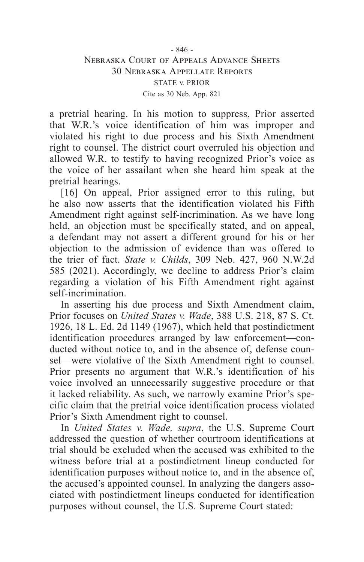a pretrial hearing. In his motion to suppress, Prior asserted that W.R.'s voice identification of him was improper and violated his right to due process and his Sixth Amendment right to counsel. The district court overruled his objection and allowed W.R. to testify to having recognized Prior's voice as the voice of her assailant when she heard him speak at the pretrial hearings.

[16] On appeal, Prior assigned error to this ruling, but he also now asserts that the identification violated his Fifth Amendment right against self-incrimination. As we have long held, an objection must be specifically stated, and on appeal, a defendant may not assert a different ground for his or her objection to the admission of evidence than was offered to the trier of fact. *State v. Childs*, 309 Neb. 427, 960 N.W.2d 585 (2021). Accordingly, we decline to address Prior's claim regarding a violation of his Fifth Amendment right against self-incrimination.

In asserting his due process and Sixth Amendment claim, Prior focuses on *United States v. Wade*, 388 U.S. 218, 87 S. Ct. 1926, 18 L. Ed. 2d 1149 (1967), which held that postindictment identification procedures arranged by law enforcement—conducted without notice to, and in the absence of, defense counsel—were violative of the Sixth Amendment right to counsel. Prior presents no argument that W.R.'s identification of his voice involved an unnecessarily suggestive procedure or that it lacked reliability. As such, we narrowly examine Prior's specific claim that the pretrial voice identification process violated Prior's Sixth Amendment right to counsel.

In *United States v. Wade, supra*, the U.S. Supreme Court addressed the question of whether courtroom identifications at trial should be excluded when the accused was exhibited to the witness before trial at a postindictment lineup conducted for identification purposes without notice to, and in the absence of, the accused's appointed counsel. In analyzing the dangers associated with postindictment lineups conducted for identification purposes without counsel, the U.S. Supreme Court stated: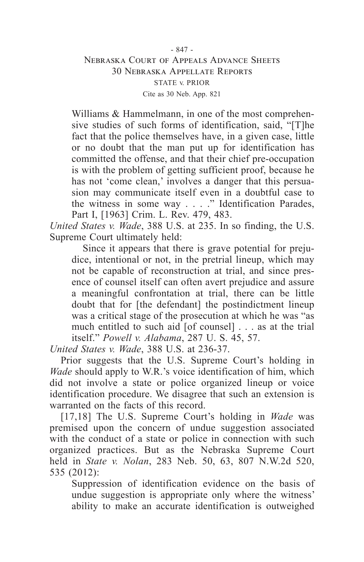# - 847 - Nebraska Court of Appeals Advance Sheets 30 Nebraska Appellate Reports STATE v. PRIOR Cite as 30 Neb. App. 821

Williams & Hammelmann, in one of the most comprehensive studies of such forms of identification, said, "[T]he fact that the police themselves have, in a given case, little or no doubt that the man put up for identification has committed the offense, and that their chief pre-occupation is with the problem of getting sufficient proof, because he has not 'come clean,' involves a danger that this persuasion may communicate itself even in a doubtful case to the witness in some way . . . ." Identification Parades, Part I, [1963] Crim. L. Rev. 479, 483.

*United States v. Wade*, 388 U.S. at 235. In so finding, the U.S. Supreme Court ultimately held:

Since it appears that there is grave potential for prejudice, intentional or not, in the pretrial lineup, which may not be capable of reconstruction at trial, and since presence of counsel itself can often avert prejudice and assure a meaningful confrontation at trial, there can be little doubt that for [the defendant] the postindictment lineup was a critical stage of the prosecution at which he was "as much entitled to such aid [of counsel] . . . as at the trial itself." *Powell v. Alabama*, 287 U. S. 45, 57.

*United States v. Wade*, 388 U.S. at 236-37.

Prior suggests that the U.S. Supreme Court's holding in *Wade* should apply to W.R.'s voice identification of him, which did not involve a state or police organized lineup or voice identification procedure. We disagree that such an extension is warranted on the facts of this record.

[17,18] The U.S. Supreme Court's holding in *Wade* was premised upon the concern of undue suggestion associated with the conduct of a state or police in connection with such organized practices. But as the Nebraska Supreme Court held in *State v. Nolan*, 283 Neb. 50, 63, 807 N.W.2d 520, 535 (2012):

Suppression of identification evidence on the basis of undue suggestion is appropriate only where the witness' ability to make an accurate identification is outweighed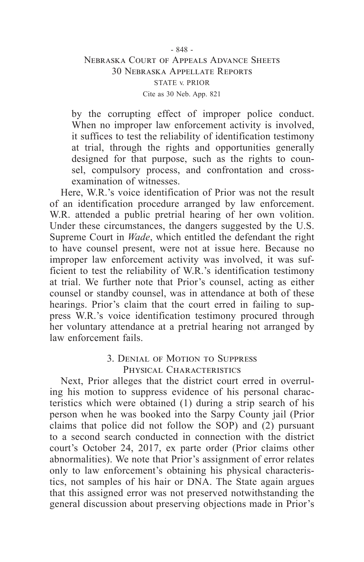# - 848 - Nebraska Court of Appeals Advance Sheets 30 Nebraska Appellate Reports STATE v. PRIOR Cite as 30 Neb. App. 821

by the corrupting effect of improper police conduct. When no improper law enforcement activity is involved, it suffices to test the reliability of identification testimony at trial, through the rights and opportunities generally designed for that purpose, such as the rights to counsel, compulsory process, and confrontation and crossexamination of witnesses.

Here, W.R.'s voice identification of Prior was not the result of an identification procedure arranged by law enforcement. W.R. attended a public pretrial hearing of her own volition. Under these circumstances, the dangers suggested by the U.S. Supreme Court in *Wade*, which entitled the defendant the right to have counsel present, were not at issue here. Because no improper law enforcement activity was involved, it was sufficient to test the reliability of W.R.'s identification testimony at trial. We further note that Prior's counsel, acting as either counsel or standby counsel, was in attendance at both of these hearings. Prior's claim that the court erred in failing to suppress W.R.'s voice identification testimony procured through her voluntary attendance at a pretrial hearing not arranged by law enforcement fails.

# 3. Denial of Motion to Suppress PHYSICAL CHARACTERISTICS

Next, Prior alleges that the district court erred in overruling his motion to suppress evidence of his personal characteristics which were obtained (1) during a strip search of his person when he was booked into the Sarpy County jail (Prior claims that police did not follow the SOP) and (2) pursuant to a second search conducted in connection with the district court's October 24, 2017, ex parte order (Prior claims other abnormalities). We note that Prior's assignment of error relates only to law enforcement's obtaining his physical characteristics, not samples of his hair or DNA. The State again argues that this assigned error was not preserved notwithstanding the general discussion about preserving objections made in Prior's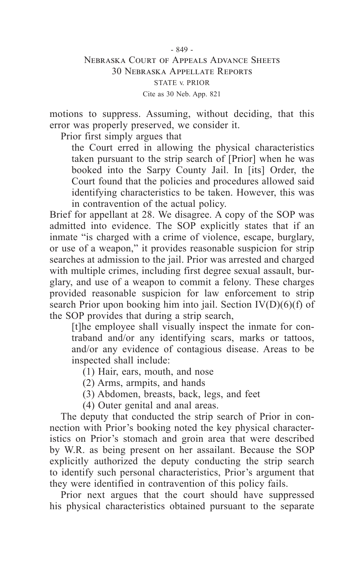# - 849 - Nebraska Court of Appeals Advance Sheets 30 Nebraska Appellate Reports STATE v. PRIOR Cite as 30 Neb. App. 821

motions to suppress. Assuming, without deciding, that this error was properly preserved, we consider it.

Prior first simply argues that

the Court erred in allowing the physical characteristics taken pursuant to the strip search of [Prior] when he was booked into the Sarpy County Jail. In [its] Order, the Court found that the policies and procedures allowed said identifying characteristics to be taken. However, this was in contravention of the actual policy.

Brief for appellant at 28. We disagree. A copy of the SOP was admitted into evidence. The SOP explicitly states that if an inmate "is charged with a crime of violence, escape, burglary, or use of a weapon," it provides reasonable suspicion for strip searches at admission to the jail. Prior was arrested and charged with multiple crimes, including first degree sexual assault, burglary, and use of a weapon to commit a felony. These charges provided reasonable suspicion for law enforcement to strip search Prior upon booking him into jail. Section  $IV(D)(6)(f)$  of the SOP provides that during a strip search,

[t]he employee shall visually inspect the inmate for contraband and/or any identifying scars, marks or tattoos, and/or any evidence of contagious disease. Areas to be inspected shall include:

(1) Hair, ears, mouth, and nose

(2) Arms, armpits, and hands

(3) Abdomen, breasts, back, legs, and feet

(4) Outer genital and anal areas.

The deputy that conducted the strip search of Prior in connection with Prior's booking noted the key physical characteristics on Prior's stomach and groin area that were described by W.R. as being present on her assailant. Because the SOP explicitly authorized the deputy conducting the strip search to identify such personal characteristics, Prior's argument that they were identified in contravention of this policy fails.

Prior next argues that the court should have suppressed his physical characteristics obtained pursuant to the separate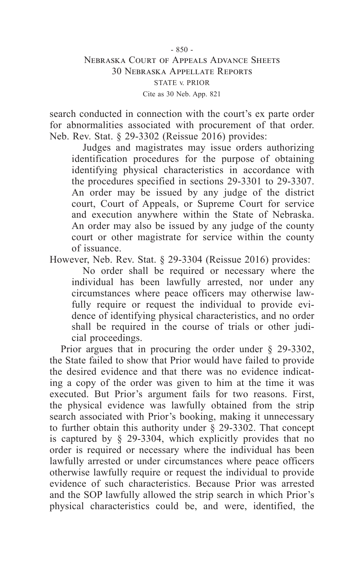# - 850 - Nebraska Court of Appeals Advance Sheets 30 Nebraska Appellate Reports STATE v. PRIOR Cite as 30 Neb. App. 821

search conducted in connection with the court's ex parte order for abnormalities associated with procurement of that order. Neb. Rev. Stat. § 29-3302 (Reissue 2016) provides:

Judges and magistrates may issue orders authorizing identification procedures for the purpose of obtaining identifying physical characteristics in accordance with the procedures specified in sections 29-3301 to 29-3307. An order may be issued by any judge of the district court, Court of Appeals, or Supreme Court for service and execution anywhere within the State of Nebraska. An order may also be issued by any judge of the county court or other magistrate for service within the county of issuance.

However, Neb. Rev. Stat. § 29-3304 (Reissue 2016) provides:

No order shall be required or necessary where the individual has been lawfully arrested, nor under any circumstances where peace officers may otherwise lawfully require or request the individual to provide evidence of identifying physical characteristics, and no order shall be required in the course of trials or other judicial proceedings.

Prior argues that in procuring the order under § 29-3302, the State failed to show that Prior would have failed to provide the desired evidence and that there was no evidence indicating a copy of the order was given to him at the time it was executed. But Prior's argument fails for two reasons. First, the physical evidence was lawfully obtained from the strip search associated with Prior's booking, making it unnecessary to further obtain this authority under § 29-3302. That concept is captured by § 29-3304, which explicitly provides that no order is required or necessary where the individual has been lawfully arrested or under circumstances where peace officers otherwise lawfully require or request the individual to provide evidence of such characteristics. Because Prior was arrested and the SOP lawfully allowed the strip search in which Prior's physical characteristics could be, and were, identified, the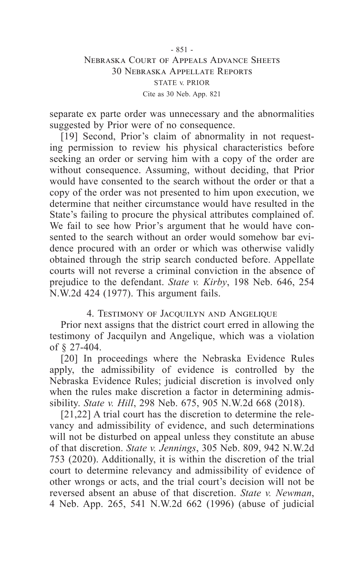# - 851 - Nebraska Court of Appeals Advance Sheets 30 Nebraska Appellate Reports STATE v. PRIOR Cite as 30 Neb. App. 821

separate ex parte order was unnecessary and the abnormalities suggested by Prior were of no consequence.

[19] Second, Prior's claim of abnormality in not requesting permission to review his physical characteristics before seeking an order or serving him with a copy of the order are without consequence. Assuming, without deciding, that Prior would have consented to the search without the order or that a copy of the order was not presented to him upon execution, we determine that neither circumstance would have resulted in the State's failing to procure the physical attributes complained of. We fail to see how Prior's argument that he would have consented to the search without an order would somehow bar evidence procured with an order or which was otherwise validly obtained through the strip search conducted before. Appellate courts will not reverse a criminal conviction in the absence of prejudice to the defendant. *State v. Kirby*, 198 Neb. 646, 254 N.W.2d 424 (1977). This argument fails.

4. Testimony of Jacquilyn and Angelique

Prior next assigns that the district court erred in allowing the testimony of Jacquilyn and Angelique, which was a violation of § 27-404.

[20] In proceedings where the Nebraska Evidence Rules apply, the admissibility of evidence is controlled by the Nebraska Evidence Rules; judicial discretion is involved only when the rules make discretion a factor in determining admissibility. *State v. Hill*, 298 Neb. 675, 905 N.W.2d 668 (2018).

[21,22] A trial court has the discretion to determine the relevancy and admissibility of evidence, and such determinations will not be disturbed on appeal unless they constitute an abuse of that discretion. *State v. Jennings*, 305 Neb. 809, 942 N.W.2d 753 (2020). Additionally, it is within the discretion of the trial court to determine relevancy and admissibility of evidence of other wrongs or acts, and the trial court's decision will not be reversed absent an abuse of that discretion. *State v. Newman*, 4 Neb. App. 265, 541 N.W.2d 662 (1996) (abuse of judicial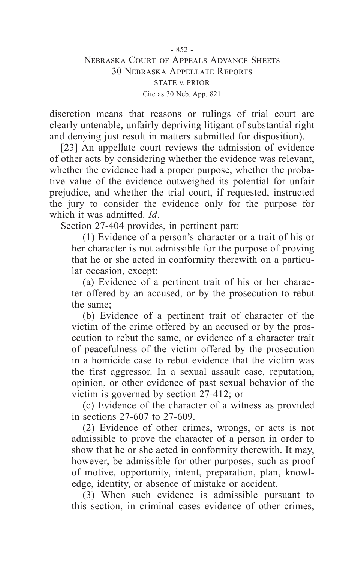discretion means that reasons or rulings of trial court are clearly untenable, unfairly depriving litigant of substantial right and denying just result in matters submitted for disposition).

[23] An appellate court reviews the admission of evidence of other acts by considering whether the evidence was relevant, whether the evidence had a proper purpose, whether the probative value of the evidence outweighed its potential for unfair prejudice, and whether the trial court, if requested, instructed the jury to consider the evidence only for the purpose for which it was admitted. *Id*.

Section 27-404 provides, in pertinent part:

(1) Evidence of a person's character or a trait of his or her character is not admissible for the purpose of proving that he or she acted in conformity therewith on a particular occasion, except:

(a) Evidence of a pertinent trait of his or her character offered by an accused, or by the prosecution to rebut the same;

(b) Evidence of a pertinent trait of character of the victim of the crime offered by an accused or by the prosecution to rebut the same, or evidence of a character trait of peacefulness of the victim offered by the prosecution in a homicide case to rebut evidence that the victim was the first aggressor. In a sexual assault case, reputation, opinion, or other evidence of past sexual behavior of the victim is governed by section 27-412; or

(c) Evidence of the character of a witness as provided in sections 27-607 to 27-609.

(2) Evidence of other crimes, wrongs, or acts is not admissible to prove the character of a person in order to show that he or she acted in conformity therewith. It may, however, be admissible for other purposes, such as proof of motive, opportunity, intent, preparation, plan, knowledge, identity, or absence of mistake or accident.

(3) When such evidence is admissible pursuant to this section, in criminal cases evidence of other crimes,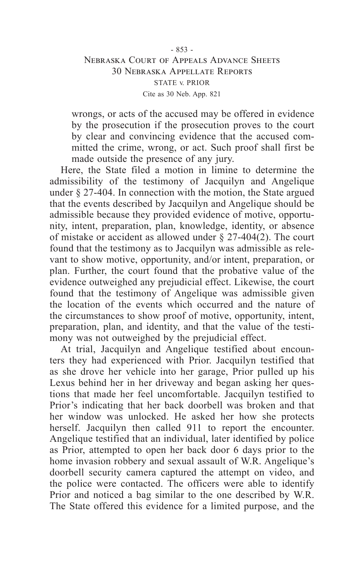# - 853 - Nebraska Court of Appeals Advance Sheets 30 Nebraska Appellate Reports STATE v. PRIOR Cite as 30 Neb. App. 821

wrongs, or acts of the accused may be offered in evidence by the prosecution if the prosecution proves to the court by clear and convincing evidence that the accused committed the crime, wrong, or act. Such proof shall first be made outside the presence of any jury.

Here, the State filed a motion in limine to determine the admissibility of the testimony of Jacquilyn and Angelique under § 27-404. In connection with the motion, the State argued that the events described by Jacquilyn and Angelique should be admissible because they provided evidence of motive, opportunity, intent, preparation, plan, knowledge, identity, or absence of mistake or accident as allowed under § 27-404(2). The court found that the testimony as to Jacquilyn was admissible as relevant to show motive, opportunity, and/or intent, preparation, or plan. Further, the court found that the probative value of the evidence outweighed any prejudicial effect. Likewise, the court found that the testimony of Angelique was admissible given the location of the events which occurred and the nature of the circumstances to show proof of motive, opportunity, intent, preparation, plan, and identity, and that the value of the testimony was not outweighed by the prejudicial effect.

At trial, Jacquilyn and Angelique testified about encounters they had experienced with Prior. Jacquilyn testified that as she drove her vehicle into her garage, Prior pulled up his Lexus behind her in her driveway and began asking her questions that made her feel uncomfortable. Jacquilyn testified to Prior's indicating that her back doorbell was broken and that her window was unlocked. He asked her how she protects herself. Jacquilyn then called 911 to report the encounter. Angelique testified that an individual, later identified by police as Prior, attempted to open her back door 6 days prior to the home invasion robbery and sexual assault of W.R. Angelique's doorbell security camera captured the attempt on video, and the police were contacted. The officers were able to identify Prior and noticed a bag similar to the one described by W.R. The State offered this evidence for a limited purpose, and the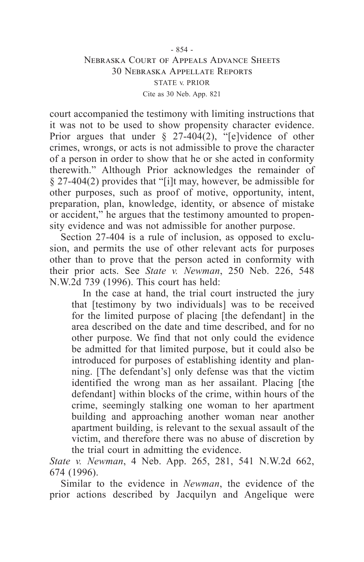# - 854 - Nebraska Court of Appeals Advance Sheets 30 Nebraska Appellate Reports STATE v. PRIOR Cite as 30 Neb. App. 821

court accompanied the testimony with limiting instructions that it was not to be used to show propensity character evidence. Prior argues that under  $\S$  27-404(2), "[e]vidence of other crimes, wrongs, or acts is not admissible to prove the character of a person in order to show that he or she acted in conformity therewith." Although Prior acknowledges the remainder of § 27-404(2) provides that "[i]t may, however, be admissible for other purposes, such as proof of motive, opportunity, intent, preparation, plan, knowledge, identity, or absence of mistake or accident," he argues that the testimony amounted to propensity evidence and was not admissible for another purpose.

Section 27-404 is a rule of inclusion, as opposed to exclusion, and permits the use of other relevant acts for purposes other than to prove that the person acted in conformity with their prior acts. See *State v. Newman*, 250 Neb. 226, 548 N.W.2d 739 (1996). This court has held:

In the case at hand, the trial court instructed the jury that [testimony by two individuals] was to be received for the limited purpose of placing [the defendant] in the area described on the date and time described, and for no other purpose. We find that not only could the evidence be admitted for that limited purpose, but it could also be introduced for purposes of establishing identity and planning. [The defendant's] only defense was that the victim identified the wrong man as her assailant. Placing [the defendant] within blocks of the crime, within hours of the crime, seemingly stalking one woman to her apartment building and approaching another woman near another apartment building, is relevant to the sexual assault of the victim, and therefore there was no abuse of discretion by the trial court in admitting the evidence.

*State v. Newman*, 4 Neb. App. 265, 281, 541 N.W.2d 662, 674 (1996).

Similar to the evidence in *Newman*, the evidence of the prior actions described by Jacquilyn and Angelique were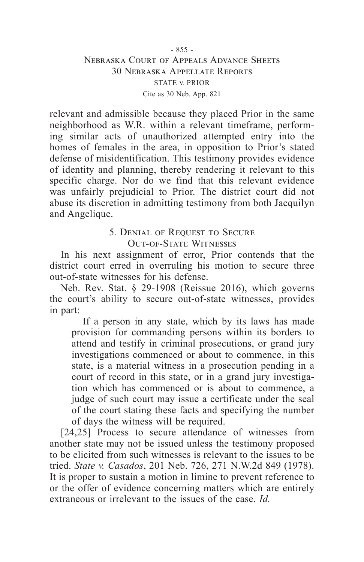# - 855 - Nebraska Court of Appeals Advance Sheets 30 Nebraska Appellate Reports STATE v. PRIOR Cite as 30 Neb. App. 821

relevant and admissible because they placed Prior in the same neighborhood as W.R. within a relevant timeframe, performing similar acts of unauthorized attempted entry into the homes of females in the area, in opposition to Prior's stated defense of misidentification. This testimony provides evidence of identity and planning, thereby rendering it relevant to this specific charge. Nor do we find that this relevant evidence was unfairly prejudicial to Prior. The district court did not abuse its discretion in admitting testimony from both Jacquilyn and Angelique.

# 5. DENIAL OF REQUEST TO SECURE Out-of-State Witnesses

In his next assignment of error, Prior contends that the district court erred in overruling his motion to secure three out-of-state witnesses for his defense.

Neb. Rev. Stat. § 29-1908 (Reissue 2016), which governs the court's ability to secure out-of-state witnesses, provides in part:

If a person in any state, which by its laws has made provision for commanding persons within its borders to attend and testify in criminal prosecutions, or grand jury investigations commenced or about to commence, in this state, is a material witness in a prosecution pending in a court of record in this state, or in a grand jury investigation which has commenced or is about to commence, a judge of such court may issue a certificate under the seal of the court stating these facts and specifying the number of days the witness will be required.

[24,25] Process to secure attendance of witnesses from another state may not be issued unless the testimony proposed to be elicited from such witnesses is relevant to the issues to be tried. *State v. Casados*, 201 Neb. 726, 271 N.W.2d 849 (1978). It is proper to sustain a motion in limine to prevent reference to or the offer of evidence concerning matters which are entirely extraneous or irrelevant to the issues of the case. *Id.*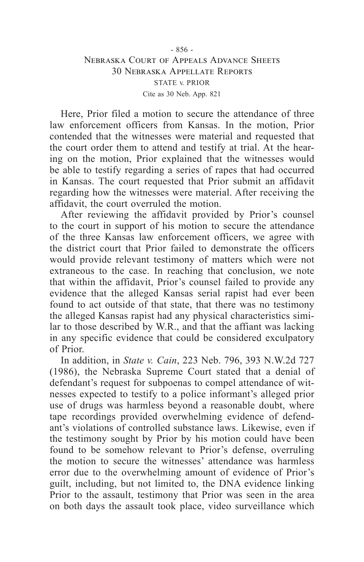# - 856 - Nebraska Court of Appeals Advance Sheets 30 Nebraska Appellate Reports STATE v. PRIOR Cite as 30 Neb. App. 821

Here, Prior filed a motion to secure the attendance of three law enforcement officers from Kansas. In the motion, Prior contended that the witnesses were material and requested that the court order them to attend and testify at trial. At the hearing on the motion, Prior explained that the witnesses would be able to testify regarding a series of rapes that had occurred in Kansas. The court requested that Prior submit an affidavit regarding how the witnesses were material. After receiving the affidavit, the court overruled the motion.

After reviewing the affidavit provided by Prior's counsel to the court in support of his motion to secure the attendance of the three Kansas law enforcement officers, we agree with the district court that Prior failed to demonstrate the officers would provide relevant testimony of matters which were not extraneous to the case. In reaching that conclusion, we note that within the affidavit, Prior's counsel failed to provide any evidence that the alleged Kansas serial rapist had ever been found to act outside of that state, that there was no testimony the alleged Kansas rapist had any physical characteristics similar to those described by W.R., and that the affiant was lacking in any specific evidence that could be considered exculpatory of Prior.

In addition, in *State v. Cain*, 223 Neb. 796, 393 N.W.2d 727 (1986), the Nebraska Supreme Court stated that a denial of defendant's request for subpoenas to compel attendance of witnesses expected to testify to a police informant's alleged prior use of drugs was harmless beyond a reasonable doubt, where tape recordings provided overwhelming evidence of defendant's violations of controlled substance laws. Likewise, even if the testimony sought by Prior by his motion could have been found to be somehow relevant to Prior's defense, overruling the motion to secure the witnesses' attendance was harmless error due to the overwhelming amount of evidence of Prior's guilt, including, but not limited to, the DNA evidence linking Prior to the assault, testimony that Prior was seen in the area on both days the assault took place, video surveillance which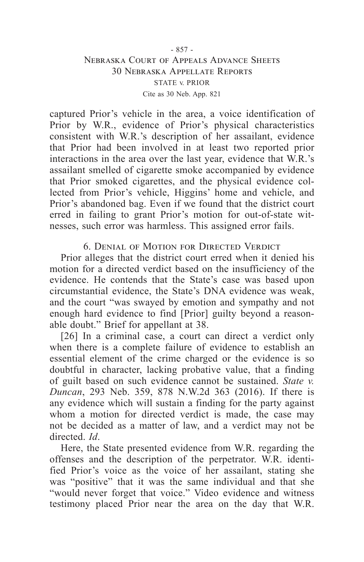# Nebraska Court of Appeals Advance Sheets 30 Nebraska Appellate Reports STATE v. PRIOR Cite as 30 Neb. App. 821

captured Prior's vehicle in the area, a voice identification of Prior by W.R., evidence of Prior's physical characteristics consistent with W.R.'s description of her assailant, evidence that Prior had been involved in at least two reported prior interactions in the area over the last year, evidence that W.R.'s assailant smelled of cigarette smoke accompanied by evidence that Prior smoked cigarettes, and the physical evidence collected from Prior's vehicle, Higgins' home and vehicle, and Prior's abandoned bag. Even if we found that the district court erred in failing to grant Prior's motion for out-of-state witnesses, such error was harmless. This assigned error fails.

6. Denial of Motion for Directed Verdict

Prior alleges that the district court erred when it denied his motion for a directed verdict based on the insufficiency of the evidence. He contends that the State's case was based upon circumstantial evidence, the State's DNA evidence was weak, and the court "was swayed by emotion and sympathy and not enough hard evidence to find [Prior] guilty beyond a reasonable doubt." Brief for appellant at 38.

[26] In a criminal case, a court can direct a verdict only when there is a complete failure of evidence to establish an essential element of the crime charged or the evidence is so doubtful in character, lacking probative value, that a finding of guilt based on such evidence cannot be sustained. *State v. Duncan*, 293 Neb. 359, 878 N.W.2d 363 (2016). If there is any evidence which will sustain a finding for the party against whom a motion for directed verdict is made, the case may not be decided as a matter of law, and a verdict may not be directed. *Id*.

Here, the State presented evidence from W.R. regarding the offenses and the description of the perpetrator. W.R. identified Prior's voice as the voice of her assailant, stating she was "positive" that it was the same individual and that she "would never forget that voice." Video evidence and witness testimony placed Prior near the area on the day that W.R.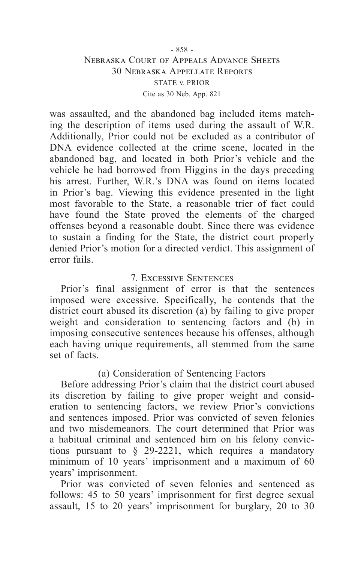# - 858 - Nebraska Court of Appeals Advance Sheets 30 Nebraska Appellate Reports STATE v. PRIOR Cite as 30 Neb. App. 821

was assaulted, and the abandoned bag included items matching the description of items used during the assault of W.R. Additionally, Prior could not be excluded as a contributor of DNA evidence collected at the crime scene, located in the abandoned bag, and located in both Prior's vehicle and the vehicle he had borrowed from Higgins in the days preceding his arrest. Further, W.R.'s DNA was found on items located in Prior's bag. Viewing this evidence presented in the light most favorable to the State, a reasonable trier of fact could have found the State proved the elements of the charged offenses beyond a reasonable doubt. Since there was evidence to sustain a finding for the State, the district court properly denied Prior's motion for a directed verdict. This assignment of error fails.

# 7. Excessive Sentences

Prior's final assignment of error is that the sentences imposed were excessive. Specifically, he contends that the district court abused its discretion (a) by failing to give proper weight and consideration to sentencing factors and (b) in imposing consecutive sentences because his offenses, although each having unique requirements, all stemmed from the same set of facts.

# (a) Consideration of Sentencing Factors

Before addressing Prior's claim that the district court abused its discretion by failing to give proper weight and consideration to sentencing factors, we review Prior's convictions and sentences imposed. Prior was convicted of seven felonies and two misdemeanors. The court determined that Prior was a habitual criminal and sentenced him on his felony convictions pursuant to § 29-2221, which requires a mandatory minimum of 10 years' imprisonment and a maximum of 60 years' imprisonment.

Prior was convicted of seven felonies and sentenced as follows: 45 to 50 years' imprisonment for first degree sexual assault, 15 to 20 years' imprisonment for burglary, 20 to 30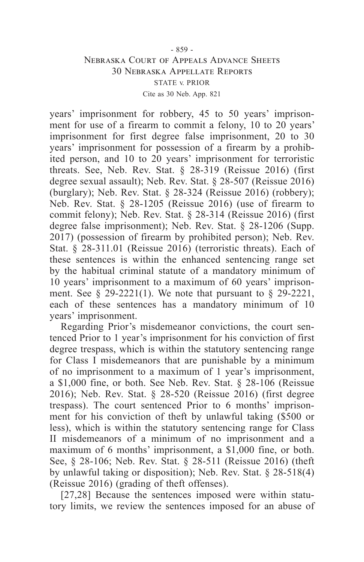# - 859 - Nebraska Court of Appeals Advance Sheets 30 Nebraska Appellate Reports STATE v. PRIOR Cite as 30 Neb. App. 821

years' imprisonment for robbery, 45 to 50 years' imprisonment for use of a firearm to commit a felony, 10 to 20 years' imprisonment for first degree false imprisonment, 20 to 30 years' imprisonment for possession of a firearm by a prohibited person, and 10 to 20 years' imprisonment for terroristic threats. See, Neb. Rev. Stat. § 28-319 (Reissue 2016) (first degree sexual assault); Neb. Rev. Stat. § 28-507 (Reissue 2016) (burglary); Neb. Rev. Stat. § 28-324 (Reissue 2016) (robbery); Neb. Rev. Stat. § 28-1205 (Reissue 2016) (use of firearm to commit felony); Neb. Rev. Stat. § 28-314 (Reissue 2016) (first degree false imprisonment); Neb. Rev. Stat. § 28-1206 (Supp. 2017) (possession of firearm by prohibited person); Neb. Rev. Stat. § 28-311.01 (Reissue 2016) (terroristic threats). Each of these sentences is within the enhanced sentencing range set by the habitual criminal statute of a mandatory minimum of 10 years' imprisonment to a maximum of 60 years' imprisonment. See  $\frac{29-2221(1)}{20}$ . We note that pursuant to  $\frac{29-2221}{20}$ , each of these sentences has a mandatory minimum of 10 years' imprisonment.

Regarding Prior's misdemeanor convictions, the court sentenced Prior to 1 year's imprisonment for his conviction of first degree trespass, which is within the statutory sentencing range for Class I misdemeanors that are punishable by a minimum of no imprisonment to a maximum of 1 year's imprisonment, a \$1,000 fine, or both. See Neb. Rev. Stat. § 28-106 (Reissue 2016); Neb. Rev. Stat. § 28-520 (Reissue 2016) (first degree trespass). The court sentenced Prior to 6 months' imprisonment for his conviction of theft by unlawful taking (\$500 or less), which is within the statutory sentencing range for Class II misdemeanors of a minimum of no imprisonment and a maximum of 6 months' imprisonment, a \$1,000 fine, or both. See, § 28-106; Neb. Rev. Stat. § 28-511 (Reissue 2016) (theft by unlawful taking or disposition); Neb. Rev. Stat. § 28-518(4) (Reissue 2016) (grading of theft offenses).

[27,28] Because the sentences imposed were within statutory limits, we review the sentences imposed for an abuse of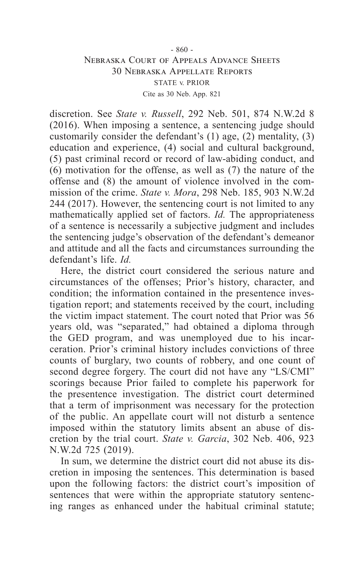# - 860 - Nebraska Court of Appeals Advance Sheets 30 Nebraska Appellate Reports STATE v. PRIOR Cite as 30 Neb. App. 821

discretion. See *State v. Russell*, 292 Neb. 501, 874 N.W.2d 8 (2016). When imposing a sentence, a sentencing judge should customarily consider the defendant's (1) age, (2) mentality, (3) education and experience, (4) social and cultural background, (5) past criminal record or record of law-abiding conduct, and (6) motivation for the offense, as well as (7) the nature of the offense and (8) the amount of violence involved in the commission of the crime. *State v. Mora*, 298 Neb. 185, 903 N.W.2d 244 (2017). However, the sentencing court is not limited to any mathematically applied set of factors. *Id.* The appropriateness of a sentence is necessarily a subjective judgment and includes the sentencing judge's observation of the defendant's demeanor and attitude and all the facts and circumstances surrounding the defendant's life. *Id.*

Here, the district court considered the serious nature and circumstances of the offenses; Prior's history, character, and condition; the information contained in the presentence investigation report; and statements received by the court, including the victim impact statement. The court noted that Prior was 56 years old, was "separated," had obtained a diploma through the GED program, and was unemployed due to his incarceration. Prior's criminal history includes convictions of three counts of burglary, two counts of robbery, and one count of second degree forgery. The court did not have any "LS/CMI" scorings because Prior failed to complete his paperwork for the presentence investigation. The district court determined that a term of imprisonment was necessary for the protection of the public. An appellate court will not disturb a sentence imposed within the statutory limits absent an abuse of discretion by the trial court. *State v. Garcia*, 302 Neb. 406, 923 N.W.2d 725 (2019).

In sum, we determine the district court did not abuse its discretion in imposing the sentences. This determination is based upon the following factors: the district court's imposition of sentences that were within the appropriate statutory sentencing ranges as enhanced under the habitual criminal statute;